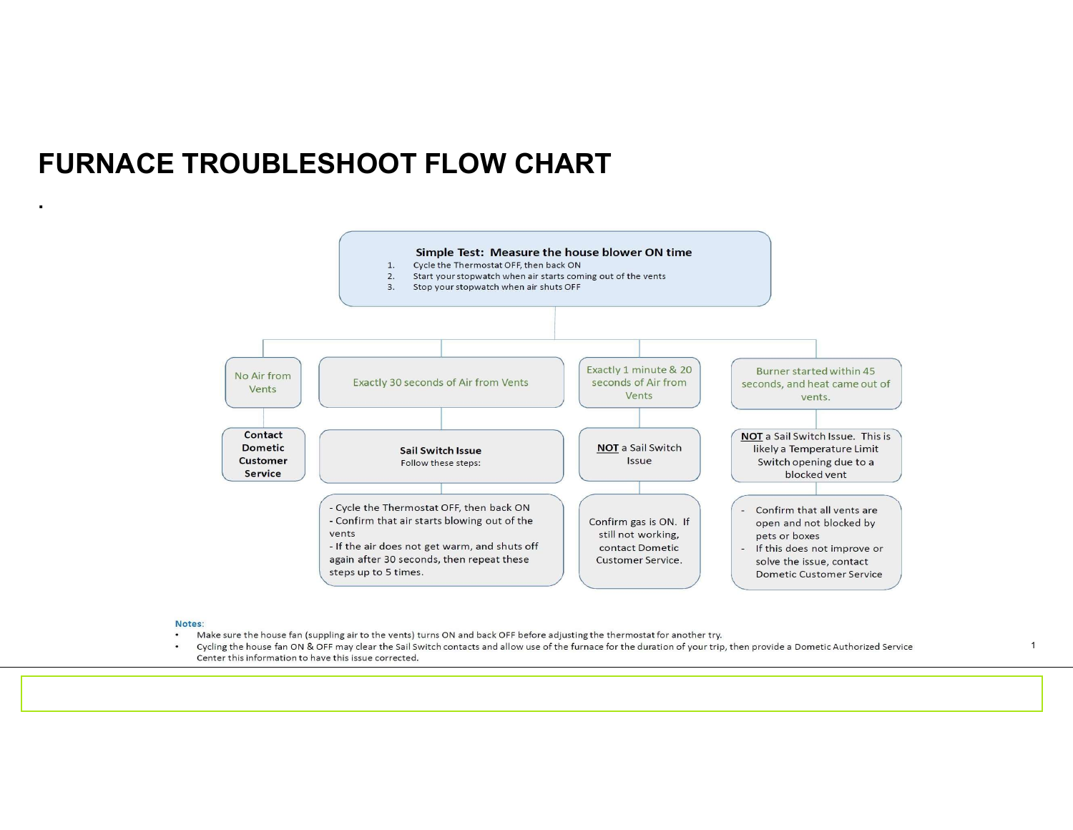### FURNACE TROUBLESHOOT FLOW CHART



#### Notes:

.

- Make sure the house fan (suppling air to the vents) turns ON and back OFF before adjusting the thermostat for another try.
- $\bullet$ Cycling the house fan ON & OFF may clear the Sail Switch contacts and allow use of the furnace for the duration of your trip, then provide a Dometic Authorized Service Center this information to have this issue corrected.

18/08/2020 1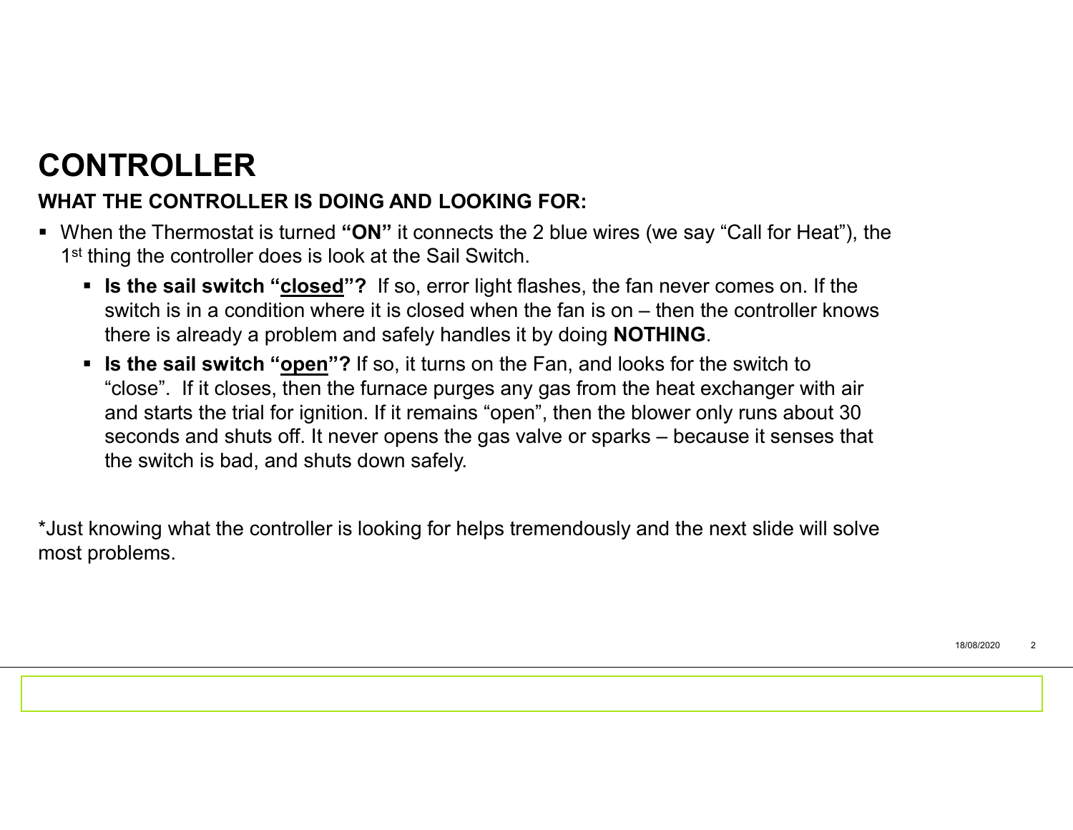# CONTROLLER

#### WHAT THE CONTROLLER IS DOING AND LOOKING FOR:

- When the Thermostat is turned " $ON$ " it connects the 2 blue wires (we say "Call for Heat"), the 1<sup>st</sup> thing the controller does is look at the Sail Switch.
- Is the sail switch "closed"? If so, error light flashes, the fan never comes on. If the **SWIT ROLLER**<br>SWITE CONTROLLER IS DOING AND LOOKING FOR:<br>the ing the controller does is look at the Sail Switch.<br>Is the sail switch "<u>closed</u>"? If so, error light flashes, the fan never comes on. If the<br>switch is in a cond there is already a problem and safely handles it by doing NOTHING.
- Is the sail switch "open"? If so, it turns on the Fan, and looks for the switch to **TROLLER**<br>THE CONTROLLER IS DOING AND LOOKING FOR:<br>the Thermostat is turned "ON" it connects the 2 blue wires (we say "Call for Heat"), the<br>ing the controller does is look at the Sail Switch.<br>Is the sail switch "<u>closed</u>"? and starts the trial for ignition. If it remains "open", then the blower only runs about 30 **TROLLER**<br>THE CONTROLLER IS DOING AND LOOKING FOR:<br>the Thermostat is turned "ON" it connects the 2 blue wires (we say "Call for Heat"), the<br>is the sail switch "c<u>losed</u>"? If so, error light flashes, the fan never comes on. **TROLLER**<br>THE CONTROLLER IS DOING AND LOOKING FOR:<br>
The CONTROLLER IS DOING AND LOOKING FOR:<br>
In the Thermostat is turned "ON" it connects the 2 blue wires (we say "Ca<br>
Is the sail switch "closed"? If so, error light flash

\*Just knowing what the controller is looking for helps tremendously and the next slide will solve most problems.